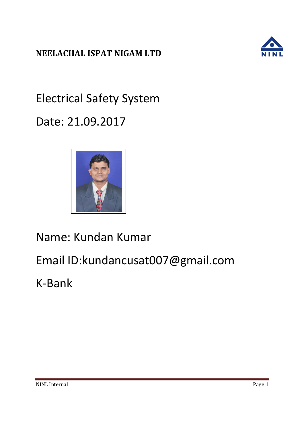

Electrical Safety System Date: 21.09.2017



Name: Kundan Kumar

Email ID:kundancusat007@gmail.com

K-Bank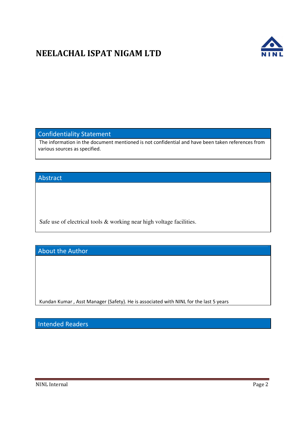

#### Confidentiality Statement

The information in the document mentioned is not confidential and have been taken references from various sources as specified.

#### Abstract

Safe use of electrical tools & working near high voltage facilities.

About the Author

Kundan Kumar , Asst Manager (Safety). He is associated with NINL for the last 5 years

Intended Readers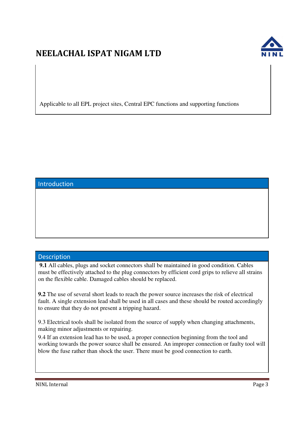

Applicable to all EPL project sites, Central EPC functions and supporting functions

### Introduction

#### Description

**9.1** All cables, plugs and socket connectors shall be maintained in good condition. Cables must be effectively attached to the plug connectors by efficient cord grips to relieve all strains on the flexible cable. Damaged cables should be replaced.

**9.2** The use of several short leads to reach the power source increases the risk of electrical fault. A single extension lead shall be used in all cases and these should be routed accordingly to ensure that they do not present a tripping hazard.

9.3 Electrical tools shall be isolated from the source of supply when changing attachments, making minor adjustments or repairing.

9.4 If an extension lead has to be used, a proper connection beginning from the tool and working towards the power source shall be ensured. An improper connection or faulty tool will blow the fuse rather than shock the user. There must be good connection to earth.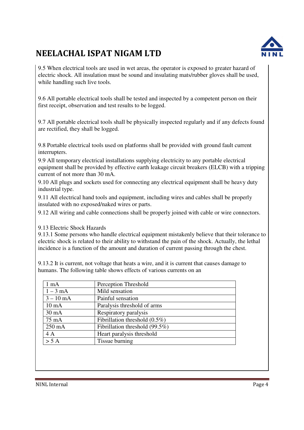

9.5 When electrical tools are used in wet areas, the operator is exposed to greater hazard of electric shock. All insulation must be sound and insulating mats/rubber gloves shall be used, while handling such live tools.

9.6 All portable electrical tools shall be tested and inspected by a competent person on their first receipt, observation and test results to be logged.

9.7 All portable electrical tools shall be physically inspected regularly and if any defects found are rectified, they shall be logged.

9.8 Portable electrical tools used on platforms shall be provided with ground fault current interrupters.

9.9 All temporary electrical installations supplying electricity to any portable electrical equipment shall be provided by effective earth leakage circuit breakers (ELCB) with a tripping current of not more than 30 mA.

9.10 All plugs and sockets used for connecting any electrical equipment shall be heavy duty industrial type.

9.11 All electrical hand tools and equipment, including wires and cables shall be properly insulated with no exposed/naked wires or parts.

9.12 All wiring and cable connections shall be properly joined with cable or wire connectors.

9.13 Electric Shock Hazards

9.13.1 Some persons who handle electrical equipment mistakenly believe that their tolerance to electric shock is related to their ability to withstand the pain of the shock. Actually, the lethal incidence is a function of the amount and duration of current passing through the chest.

9.13.2 It is current, not voltage that heats a wire, and it is current that causes damage to humans. The following table shows effects of various currents on an

| $1 \text{ mA}$   | Perception Threshold           |
|------------------|--------------------------------|
| $1-3$ mA         | Mild sensation                 |
| $3 - 10$ mA      | Painful sensation              |
| $10 \text{ mA}$  | Paralysis threshold of arms    |
| $30 \text{ mA}$  | Respiratory paralysis          |
| $75 \text{ mA}$  | Fibrillation threshold (0.5%)  |
| $250 \text{ mA}$ | Fibrillation threshold (99.5%) |
| 4A               | Heart paralysis threshold      |
| > 5 A            | Tissue burning                 |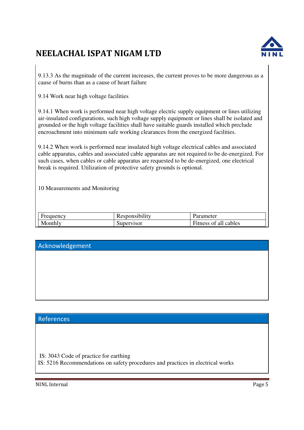

9.13.3 As the magnitude of the current increases, the current proves to be more dangerous as a cause of burns than as a cause of heart failure

9.14 Work near high voltage facilities

9.14.1 When work is performed near high voltage electric supply equipment or lines utilizing air-insulated configurations, such high voltage supply equipment or lines shall be isolated and grounded or the high voltage facilities shall have suitable guards installed which preclude encroachment into minimum safe working clearances from the energized facilities.

9.14.2 When work is performed near insulated high voltage electrical cables and associated cable apparatus, cables and associated cable apparatus are not required to be de-energized. For such cases, when cables or cable apparatus are requested to be de-energized, one electrical break is required. Utilization of protective safety grounds is optional.

10 Measurements and Monitoring

| Frequency | Responsibility | Parameter             |
|-----------|----------------|-----------------------|
| Monthly   | Supervisor     | Fitness of all cables |

#### Acknowledgement

### References

IS: 3043 Code of practice for earthing

IS: 5216 Recommendations on safety procedures and practices in electrical works